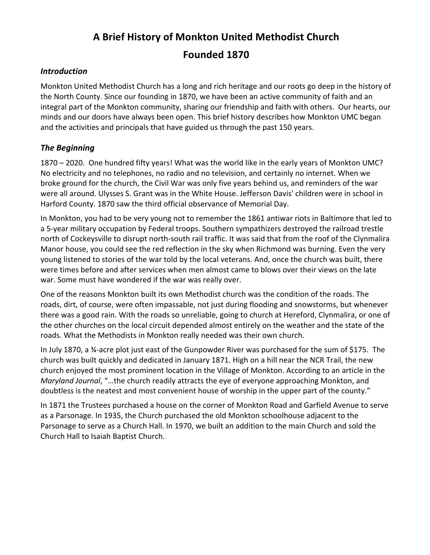# **A Brief History of Monkton United Methodist Church Founded 1870**

#### *Introduction*

Monkton United Methodist Church has a long and rich heritage and our roots go deep in the history of the North County. Since our founding in 1870, we have been an active community of faith and an integral part of the Monkton community, sharing our friendship and faith with others. Our hearts, our minds and our doors have always been open. This brief history describes how Monkton UMC began and the activities and principals that have guided us through the past 150 years.

## *The Beginning*

1870 – 2020. One hundred fifty years! What was the world like in the early years of Monkton UMC? No electricity and no telephones, no radio and no television, and certainly no internet. When we broke ground for the church, the Civil War was only five years behind us, and reminders of the war were all around. Ulysses S. Grant was in the White House. Jefferson Davis' children were in school in Harford County. 1870 saw the third official observance of Memorial Day.

In Monkton, you had to be very young not to remember the 1861 antiwar riots in Baltimore that led to a 5-year military occupation by Federal troops. Southern sympathizers destroyed the railroad trestle north of Cockeysville to disrupt north-south rail traffic. It was said that from the roof of the Clynmalira Manor house, you could see the red reflection in the sky when Richmond was burning. Even the very young listened to stories of the war told by the local veterans. And, once the church was built, there were times before and after services when men almost came to blows over their views on the late war. Some must have wondered if the war was really over.

One of the reasons Monkton built its own Methodist church was the condition of the roads. The roads, dirt, of course, were often impassable, not just during flooding and snowstorms, but whenever there was a good rain. With the roads so unreliable, going to church at Hereford, Clynmalira, or one of the other churches on the local circuit depended almost entirely on the weather and the state of the roads. What the Methodists in Monkton really needed was their own church.

In July 1870, a 34-acre plot just east of the Gunpowder River was purchased for the sum of \$175. The church was built quickly and dedicated in January 1871. High on a hill near the NCR Trail, the new church enjoyed the most prominent location in the Village of Monkton. According to an article in the *Maryland Journal,* "...the church readily attracts the eye of everyone approaching Monkton, and doubtless is the neatest and most convenient house of worship in the upper part of the county."

In 1871 the Trustees purchased a house on the corner of Monkton Road and Garfield Avenue to serve as a Parsonage. In 1935, the Church purchased the old Monkton schoolhouse adjacent to the Parsonage to serve as a Church Hall. In 1970, we built an addition to the main Church and sold the Church Hall to Isaiah Baptist Church.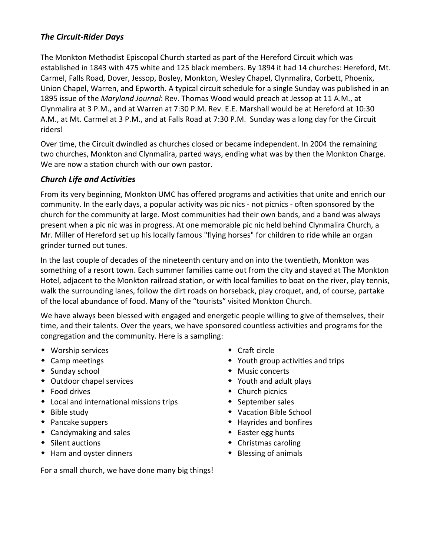## *The Circuit-Rider Days*

The Monkton Methodist Episcopal Church started as part of the Hereford Circuit which was established in 1843 with 475 white and 125 black members. By 1894 it had 14 churches: Hereford, Mt. Carmel, Falls Road, Dover, Jessop, Bosley, Monkton, Wesley Chapel, Clynmalira, Corbett, Phoenix, Union Chapel, Warren, and Epworth. A typical circuit schedule for a single Sunday was published in an 1895 issue of the *Maryland Journal*: Rev. Thomas Wood would preach at Jessop at 11 A.M., at Clynmalira at 3 P.M., and at Warren at 7:30 P.M. Rev. E.E. Marshall would be at Hereford at 10:30 A.M., at Mt. Carmel at 3 P.M., and at Falls Road at 7:30 P.M. Sunday was a long day for the Circuit riders!

Over time, the Circuit dwindled as churches closed or became independent. In 2004 the remaining two churches, Monkton and Clynmalira, parted ways, ending what was by then the Monkton Charge. We are now a station church with our own pastor.

#### *Church Life and Activities*

From its very beginning, Monkton UMC has offered programs and activities that unite and enrich our community. In the early days, a popular activity was pic nics - not picnics - often sponsored by the church for the community at large. Most communities had their own bands, and a band was always present when a pic nic was in progress. At one memorable pic nic held behind Clynmalira Church, a Mr. Miller of Hereford set up his locally famous "flying horses" for children to ride while an organ grinder turned out tunes.

In the last couple of decades of the nineteenth century and on into the twentieth, Monkton was something of a resort town. Each summer families came out from the city and stayed at The Monkton Hotel, adjacent to the Monkton railroad station, or with local families to boat on the river, play tennis, walk the surrounding lanes, follow the dirt roads on horseback, play croquet, and, of course, partake of the local abundance of food. Many of the "tourists" visited Monkton Church.

We have always been blessed with engaged and energetic people willing to give of themselves, their time, and their talents. Over the years, we have sponsored countless activities and programs for the congregation and the community. Here is a sampling:

- $\bullet$  Worship services
- $\bullet$  Camp meetings
- $\bullet$  Sunday school
- Outdoor chapel services
- $\bullet$  Food drives
- $\bullet$  Local and international missions trips
- $\bullet$  Bible study
- $\bullet$  Pancake suppers
- $\bullet$  Candymaking and sales
- $\bullet$  Silent auctions
- $\bullet$  Ham and oyster dinners
- $\bullet$  Craft circle
- $\bullet$  Youth group activities and trips
- $\bullet$  Music concerts
- $\bullet$  Youth and adult plays
- $\bullet$  Church picnics
- $\bullet$  September sales
- Vacation Bible School
- $\bullet$  Hayrides and bonfires
- $\bullet$  Easter egg hunts
- $\bullet$  Christmas caroling
- $\bullet$  Blessing of animals

For a small church, we have done many big things!